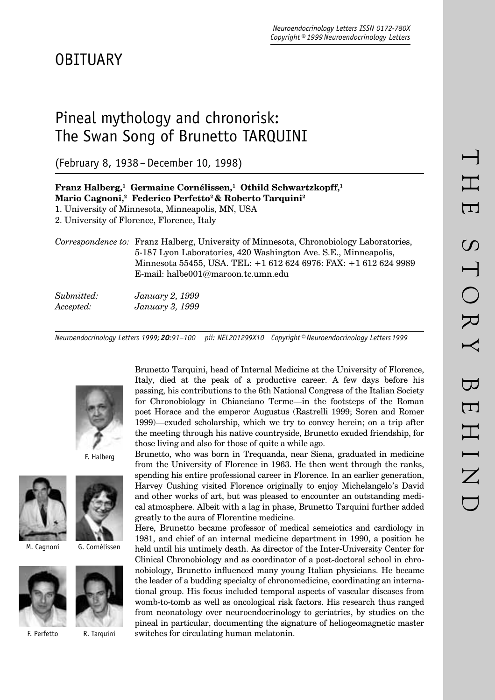# Pineal mythology and chronorisk: The Swan Song of Brunetto TARQUINI

(February 8, 1938 – December 10, 1998)

|                         | Franz Halberg, <sup>1</sup> Germaine Cornélissen, <sup>1</sup> Othild Schwartzkopff, <sup>1</sup><br>Mario Cagnoni, <sup>2</sup> Federico Perfetto <sup>2</sup> & Roberto Tarquini <sup>2</sup>                                                                                |
|-------------------------|--------------------------------------------------------------------------------------------------------------------------------------------------------------------------------------------------------------------------------------------------------------------------------|
|                         | 1. University of Minnesota, Minneapolis, MN, USA                                                                                                                                                                                                                               |
|                         | 2. University of Florence, Florence, Italy                                                                                                                                                                                                                                     |
|                         | <i>Correspondence to:</i> Franz Halberg, University of Minnesota, Chronobiology Laboratories,<br>5-187 Lyon Laboratories, 420 Washington Ave. S.E., Minneapolis,<br>Minnesota 55455, USA. TEL: +1 612 624 6976: FAX: +1 612 624 9989<br>E-mail: halbe $001@$ maroon.tc.umn.edu |
| Submitted:<br>Accepted: | January 2, 1999<br>January 3, 1999                                                                                                                                                                                                                                             |

*Neuroendocrinology Letters 1999; 20:91–100 pii: NEL201299X10 Copyright © Neuroendocrinology Letters 1999*



F. Halberg









F. Perfetto

Brunetto Tarquini, head of Internal Medicine at the University of Florence, Italy, died at the peak of a productive career. A few days before his passing, his contributions to the 6th National Congress of the Italian Society for Chronobiology in Chianciano Terme—in the footsteps of the Roman poet Horace and the emperor Augustus (Rastrelli 1999; Soren and Romer 1999)—exuded scholarship, which we try to convey herein; on a trip after the meeting through his native countryside, Brunetto exuded friendship, for those living and also for those of quite a while ago.

Brunetto, who was born in Trequanda, near Siena, graduated in medicine from the University of Florence in 1963. He then went through the ranks, spending his entire professional career in Florence. In an earlier generation, Harvey Cushing visited Florence originally to enjoy Michelangelo's David and other works of art, but was pleased to encounter an outstanding medical atmosphere. Albeit with a lag in phase, Brunetto Tarquini further added greatly to the aura of Florentine medicine.

Here, Brunetto became professor of medical semeiotics and cardiology in 1981, and chief of an internal medicine department in 1990, a position he held until his untimely death. As director of the Inter-University Center for Clinical Chronobiology and as coordinator of a post-doctoral school in chronobiology, Brunetto influenced many young Italian physicians. He became the leader of a budding specialty of chronomedicine, coordinating an international group. His focus included temporal aspects of vascular diseases from womb-to-tomb as well as oncological risk factors. His research thus ranged from neonatology over neuroendocrinology to geriatrics, by studies on the pineal in particular, documenting the signature of heliogeomagnetic master R. Tarquini switches for circulating human melatonin.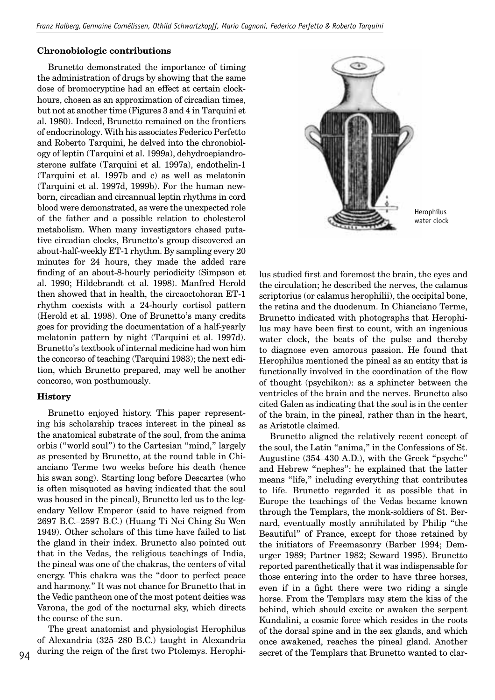## **Chronobiologic contributions**

Brunetto demonstrated the importance of timing the administration of drugs by showing that the same dose of bromocryptine had an effect at certain clockhours, chosen as an approximation of circadian times, but not at another time (Figures 3 and 4 in Tarquini et al. 1980). Indeed, Brunetto remained on the frontiers of endocrinology. With his associates Federico Perfetto and Roberto Tarquini, he delved into the chronobiology of leptin (Tarquini et al. 1999a), dehydroepiandrosterone sulfate (Tarquini et al. 1997a), endothelin-1 (Tarquini et al. 1997b and c) as well as melatonin (Tarquini et al. 1997d, 1999b). For the human newborn, circadian and circannual leptin rhythms in cord blood were demonstrated, as were the unexpected role of the father and a possible relation to cholesterol metabolism. When many investigators chased putative circadian clocks, Brunetto's group discovered an about-half-weekly ET-1 rhythm. By sampling every 20 minutes for 24 hours, they made the added rare finding of an about-8-hourly periodicity (Simpson et al. 1990; Hildebrandt et al. 1998). Manfred Herold then showed that in health, the circaoctohoran ET-1 rhythm coexists with a 24-hourly cortisol pattern (Herold et al. 1998). One of Brunetto's many credits goes for providing the documentation of a half-yearly melatonin pattern by night (Tarquini et al. 1997d). Brunetto's textbook of internal medicine had won him the concorso of teaching (Tarquini 1983); the next edition, which Brunetto prepared, may well be another concorso, won posthumously.

## **History**

Brunetto enjoyed history. This paper representing his scholarship traces interest in the pineal as the anatomical substrate of the soul, from the anima orbis ("world soul") to the Cartesian "mind," largely as presented by Brunetto, at the round table in Chianciano Terme two weeks before his death (hence his swan song). Starting long before Descartes (who is often misquoted as having indicated that the soul was housed in the pineal), Brunetto led us to the legendary Yellow Emperor (said to have reigned from 2697 B.C.–2597 B.C.) (Huang Ti Nei Ching Su Wen 1949). Other scholars of this time have failed to list the gland in their index. Brunetto also pointed out that in the Vedas, the religious teachings of India, the pineal was one of the chakras, the centers of vital energy. This chakra was the "door to perfect peace and harmony." It was not chance for Brunetto that in the Vedic pantheon one of the most potent deities was Varona, the god of the nocturnal sky, which directs the course of the sun.

The great anatomist and physiologist Herophilus of Alexandria (325–280 B.C.) taught in Alexandria during the reign of the first two Ptolemys. Herophi-



lus studied first and foremost the brain, the eyes and the circulation; he described the nerves, the calamus scriptorius (or calamus herophilii), the occipital bone, the retina and the duodenum. In Chianciano Terme, Brunetto indicated with photographs that Herophilus may have been first to count, with an ingenious water clock, the beats of the pulse and thereby to diagnose even amorous passion. He found that Herophilus mentioned the pineal as an entity that is functionally involved in the coordination of the flow of thought (psychikon): as a sphincter between the ventricles of the brain and the nerves. Brunetto also cited Galen as indicating that the soul is in the center of the brain, in the pineal, rather than in the heart, as Aristotle claimed.

Brunetto aligned the relatively recent concept of the soul, the Latin "anima," in the Confessions of St. Augustine (354–430 A.D.), with the Greek "psyche" and Hebrew "nephes": he explained that the latter means "life," including everything that contributes to life. Brunetto regarded it as possible that in Europe the teachings of the Vedas became known through the Templars, the monk-soldiers of St. Bernard, eventually mostly annihilated by Philip "the Beautiful" of France, except for those retained by the initiators of Freemasonry (Barber 1994; Demurger 1989; Partner 1982; Seward 1995). Brunetto reported parenthetically that it was indispensable for those entering into the order to have three horses, even if in a fight there were two riding a single horse. From the Templars may stem the kiss of the behind, which should excite or awaken the serpent Kundalini, a cosmic force which resides in the roots of the dorsal spine and in the sex glands, and which once awakened, reaches the pineal gland. Another secret of the Templars that Brunetto wanted to clar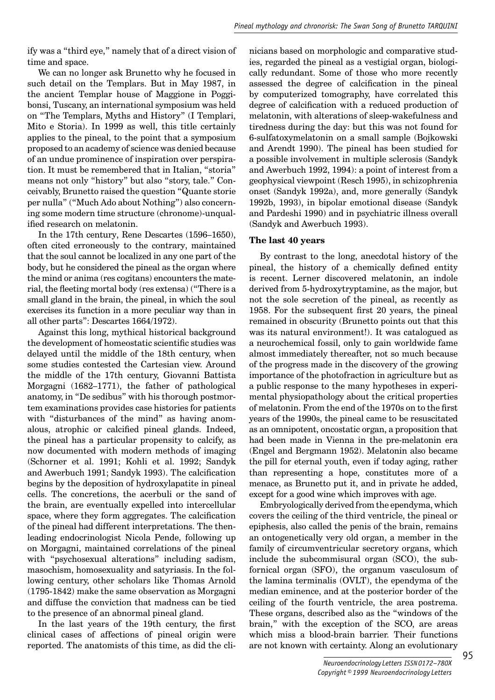ify was a "third eye," namely that of a direct vision of time and space.

We can no longer ask Brunetto why he focused in such detail on the Templars. But in May 1987, in the ancient Templar house of Maggione in Poggibonsi, Tuscany, an international symposium was held on "The Templars, Myths and History" (I Templari, Mito e Storia). In 1999 as well, this title certainly applies to the pineal, to the point that a symposium proposed to an academy of science was denied because of an undue prominence of inspiration over perspiration. It must be remembered that in Italian, "storia" means not only "history" but also "story, tale." Conceivably, Brunetto raised the question "Quante storie per nulla" ("Much Ado about Nothing") also concerning some modern time structure (chronome)-unqualified research on melatonin.

In the 17th century, Rene Descartes (1596–1650), often cited erroneously to the contrary, maintained that the soul cannot be localized in any one part of the body, but he considered the pineal as the organ where the mind or anima (res cogitans) encounters the material, the fleeting mortal body (res extensa) ("There is a small gland in the brain, the pineal, in which the soul exercises its function in a more peculiar way than in all other parts": Descartes 1664/1972).

Against this long, mythical historical background the development of homeostatic scientific studies was delayed until the middle of the 18th century, when some studies contested the Cartesian view. Around the middle of the 17th century, Giovanni Battista Morgagni (1682–1771), the father of pathological anatomy, in "De sedibus" with his thorough postmortem examinations provides case histories for patients with "disturbances of the mind" as having anomalous, atrophic or calcified pineal glands. Indeed, the pineal has a particular propensity to calcify, as now documented with modern methods of imaging (Schorner et al. 1991; Kohli et al. 1992; Sandyk and Awerbuch 1991; Sandyk 1993). The calcification begins by the deposition of hydroxylapatite in pineal cells. The concretions, the acerbuli or the sand of the brain, are eventually expelled into intercellular space, where they form aggregates. The calcification of the pineal had different interpretations. The thenleading endocrinologist Nicola Pende, following up on Morgagni, maintained correlations of the pineal with "psychosexual alterations" including sadism, masochism, homosexuality and satyriasis. In the following century, other scholars like Thomas Arnold (1795-1842) make the same observation as Morgagni and diffuse the conviction that madness can be tied to the presence of an abnormal pineal gland.

In the last years of the 19th century, the first clinical cases of affections of pineal origin were reported. The anatomists of this time, as did the clinicians based on morphologic and comparative studies, regarded the pineal as a vestigial organ, biologically redundant. Some of those who more recently assessed the degree of calcification in the pineal by computerized tomography, have correlated this degree of calcification with a reduced production of melatonin, with alterations of sleep-wakefulness and tiredness during the day: but this was not found for 6-sulfatoxymelatonin on a small sample (Bojkowski and Arendt 1990). The pineal has been studied for a possible involvement in multiple sclerosis (Sandyk and Awerbuch 1992, 1994): a point of interest from a geophysical viewpoint (Resch 1995), in schizophrenia onset (Sandyk 1992a), and, more generally (Sandyk 1992b, 1993), in bipolar emotional disease (Sandyk and Pardeshi 1990) and in psychiatric illness overall (Sandyk and Awerbuch 1993).

## **The last 40 years**

By contrast to the long, anecdotal history of the pineal, the history of a chemically defined entity is recent. Lerner discovered melatonin, an indole derived from 5-hydroxytryptamine, as the major, but not the sole secretion of the pineal, as recently as 1958. For the subsequent first 20 years, the pineal remained in obscurity (Brunetto points out that this was its natural environment!). It was catalogued as a neurochemical fossil, only to gain worldwide fame almost immediately thereafter, not so much because of the progress made in the discovery of the growing importance of the photofraction in agriculture but as a public response to the many hypotheses in experimental physiopathology about the critical properties of melatonin. From the end of the 1970s on to the first years of the 1990s, the pineal came to be resuscitated as an omnipotent, oncostatic organ, a proposition that had been made in Vienna in the pre-melatonin era (Engel and Bergmann 1952). Melatonin also became the pill for eternal youth, even if today aging, rather than representing a hope, constitutes more of a menace, as Brunetto put it, and in private he added, except for a good wine which improves with age.

Embryologically derived from the ependyma, which covers the ceiling of the third ventricle, the pineal or epiphesis, also called the penis of the brain, remains an ontogenetically very old organ, a member in the family of circumventricular secretory organs, which include the subcommisural organ (SCO), the subfornical organ (SFO), the organum vasculosum of the lamina terminalis (OVLT), the ependyma of the median eminence, and at the posterior border of the ceiling of the fourth ventricle, the area postrema. These organs, described also as the "windows of the brain," with the exception of the SCO, are areas which miss a blood-brain barrier. Their functions are not known with certainty. Along an evolutionary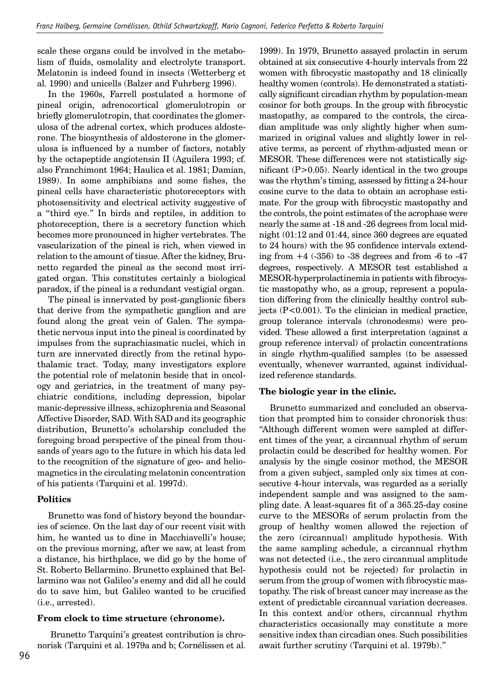scale these organs could be involved in the metabolism of fluids, osmolality and electrolyte transport. Melatonin is indeed found in insects (Wetterberg et al. 1990) and unicells (Balzer and Fuhrberg 1996).

In the 1960s, Farrell postulated a hormone of pineal origin, adrenocortical glomerulotropin or briefly glomerulotropin, that coordinates the glomerulosa of the adrenal cortex, which produces aldosterone. The biosynthesis of aldosterone in the glomerulosa is influenced by a number of factors, notably by the octapeptide angiotensin II (Aguilera 1993; cf. also Franchimont 1964; Haulica et al. 1981; Damian, 1989). In some amphibians and some fishes, the pineal cells have characteristic photoreceptors with photosensitivity and electrical activity suggestive of a "third eye." In birds and reptiles, in addition to photoreception, there is a secretory function which becomes more pronounced in higher vertebrates. The vascularization of the pineal is rich, when viewed in relation to the amount of tissue. After the kidney, Brunetto regarded the pineal as the second most irrigated organ. This constitutes certainly a biological paradox, if the pineal is a redundant vestigial organ.

The pineal is innervated by post-ganglionic fibers that derive from the sympathetic ganglion and are found along the great vein of Galen. The sympathetic nervous input into the pineal is coordinated by impulses from the suprachiasmatic nuclei, which in turn are innervated directly from the retinal hypothalamic tract. Today, many investigators explore the potential role of melatonin beside that in oncology and geriatrics, in the treatment of many psychiatric conditions, including depression, bipolar manic-depressive illness, schizophrenia and Seasonal Affective Disorder, SAD. With SAD and its geographic distribution, Brunetto's scholarship concluded the foregoing broad perspective of the pineal from thousands of years ago to the future in which his data led to the recognition of the signature of geo- and heliomagnetics in the circulating melatonin concentration of his patients (Tarquini et al. 1997d).

# **Politics**

Brunetto was fond of history beyond the boundaries of science. On the last day of our recent visit with him, he wanted us to dine in Macchiavelli's house; on the previous morning, after we saw, at least from a distance, his birthplace, we did go by the home of St. Roberto Bellarmino. Brunetto explained that Bellarmino was not Galileo's enemy and did all he could do to save him, but Galileo wanted to be crucified (i.e., arrested).

## **From clock to time structure (chronome).**

 Brunetto Tarquini's greatest contribution is chronorisk (Tarquini et al. 1979a and b; Cornélissen et al.

1999). In 1979, Brunetto assayed prolactin in serum obtained at six consecutive 4-hourly intervals from 22 women with fibrocystic mastopathy and 18 clinically healthy women (controls). He demonstrated a statistically significant circadian rhythm by population-mean cosinor for both groups. In the group with fibrocystic mastopathy, as compared to the controls, the circadian amplitude was only slightly higher when summarized in original values and slightly lower in relative terms, as percent of rhythm-adjusted mean or MESOR. These differences were not statistically significant  $(P>0.05)$ . Nearly identical in the two groups was the rhythm's timing, assessed by fitting a 24-hour cosine curve to the data to obtain an acrophase estimate. For the group with fibrocystic mastopathy and the controls, the point estimates of the acrophase were nearly the same at -18 and -26 degrees from local midnight (01:12 and 01:44, since 360 degrees are equated to 24 hours) with the 95 confidence intervals extending from  $+4$  ( $-356$ ) to  $-38$  degrees and from  $-6$  to  $-47$ degrees, respectively. A MESOR test established a MESOR-hyperprolactinemia in patients with fibrocystic mastopathy who, as a group, represent a population differing from the clinically healthy control subjects (P<0.001). To the clinician in medical practice, group tolerance intervals (chronodesms) were provided. These allowed a first interpretation (against a group reference interval) of prolactin concentrations in single rhythm-qualified samples (to be assessed eventually, whenever warranted, against individualized reference standards.

# **The biologic year in the clinic.**

Brunetto summarized and concluded an observation that prompted him to consider chronorisk thus: "Although different women were sampled at different times of the year, a circannual rhythm of serum prolactin could be described for healthy women. For analysis by the single cosinor method, the MESOR from a given subject, sampled only six times at consecutive 4-hour intervals, was regarded as a serially independent sample and was assigned to the sampling date. A least-squares fit of a 365.25-day cosine curve to the MESORs of serum prolactin from the group of healthy women allowed the rejection of the zero (circannual) amplitude hypothesis. With the same sampling schedule, a circannual rhythm was not detected (i.e., the zero circannual amplitude hypothesis could not be rejected) for prolactin in serum from the group of women with fibrocystic mastopathy. The risk of breast cancer may increase as the extent of predictable circannual variation decreases. In this context and/or others, circannual rhythm characteristics occasionally may constitute a more sensitive index than circadian ones. Such possibilities await further scrutiny (Tarquini et al. 1979b)."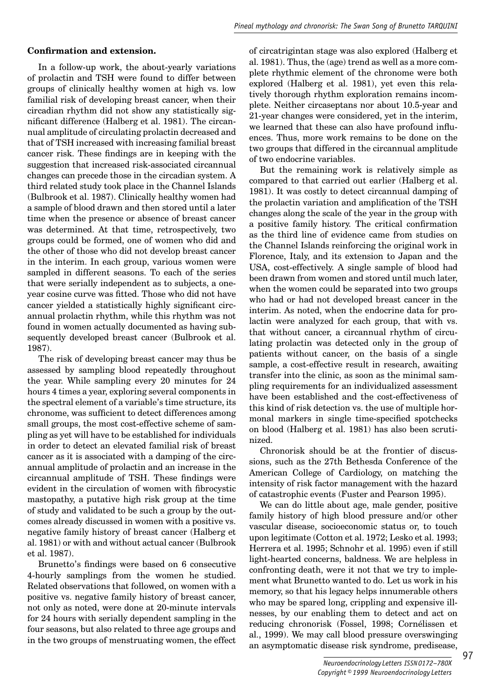## **Confirmation and extension.**

In a follow-up work, the about-yearly variations of prolactin and TSH were found to differ between groups of clinically healthy women at high vs. low familial risk of developing breast cancer, when their circadian rhythm did not show any statistically significant difference (Halberg et al. 1981). The circannual amplitude of circulating prolactin decreased and that of TSH increased with increasing familial breast cancer risk. These findings are in keeping with the suggestion that increased risk-associated circannual changes can precede those in the circadian system. A third related study took place in the Channel Islands (Bulbrook et al. 1987). Clinically healthy women had a sample of blood drawn and then stored until a later time when the presence or absence of breast cancer was determined. At that time, retrospectively, two groups could be formed, one of women who did and the other of those who did not develop breast cancer in the interim. In each group, various women were sampled in different seasons. To each of the series that were serially independent as to subjects, a oneyear cosine curve was fitted. Those who did not have cancer yielded a statistically highly significant circannual prolactin rhythm, while this rhythm was not found in women actually documented as having subsequently developed breast cancer (Bulbrook et al. 1987).

The risk of developing breast cancer may thus be assessed by sampling blood repeatedly throughout the year. While sampling every 20 minutes for 24 hours 4 times a year, exploring several components in the spectral element of a variable's time structure, its chronome, was sufficient to detect differences among small groups, the most cost-effective scheme of sampling as yet will have to be established for individuals in order to detect an elevated familial risk of breast cancer as it is associated with a damping of the circannual amplitude of prolactin and an increase in the circannual amplitude of TSH. These findings were evident in the circulation of women with fibrocystic mastopathy, a putative high risk group at the time of study and validated to be such a group by the outcomes already discussed in women with a positive vs. negative family history of breast cancer (Halberg et al. 1981) or with and without actual cancer (Bulbrook et al. 1987).

Brunetto's findings were based on 6 consecutive 4-hourly samplings from the women he studied. Related observations that followed, on women with a positive vs. negative family history of breast cancer, not only as noted, were done at 20-minute intervals for 24 hours with serially dependent sampling in the four seasons, but also related to three age groups and in the two groups of menstruating women, the effect of circatrigintan stage was also explored (Halberg et al. 1981). Thus, the (age) trend as well as a more complete rhythmic element of the chronome were both explored (Halberg et al. 1981), yet even this relatively thorough rhythm exploration remains incomplete. Neither circaseptans nor about 10.5-year and 21-year changes were considered, yet in the interim, we learned that these can also have profound influences. Thus, more work remains to be done on the two groups that differed in the circannual amplitude of two endocrine variables.

But the remaining work is relatively simple as compared to that carried out earlier (Halberg et al. 1981). It was costly to detect circannual damping of the prolactin variation and amplification of the TSH changes along the scale of the year in the group with a positive family history. The critical confirmation as the third line of evidence came from studies on the Channel Islands reinforcing the original work in Florence, Italy, and its extension to Japan and the USA, cost-effectively. A single sample of blood had been drawn from women and stored until much later, when the women could be separated into two groups who had or had not developed breast cancer in the interim. As noted, when the endocrine data for prolactin were analyzed for each group, that with vs. that without cancer, a circannual rhythm of circulating prolactin was detected only in the group of patients without cancer, on the basis of a single sample, a cost-effective result in research, awaiting transfer into the clinic, as soon as the minimal sampling requirements for an individualized assessment have been established and the cost-effectiveness of this kind of risk detection vs. the use of multiple hormonal markers in single time-specified spotchecks on blood (Halberg et al. 1981) has also been scrutinized.

Chronorisk should be at the frontier of discussions, such as the 27th Bethesda Conference of the American College of Cardiology, on matching the intensity of risk factor management with the hazard of catastrophic events (Fuster and Pearson 1995).

We can do little about age, male gender, positive family history of high blood pressure and/or other vascular disease, socioeconomic status or, to touch upon legitimate (Cotton et al. 1972; Lesko et al. 1993; Herrera et al. 1995; Schnohr et al. 1995) even if still light-hearted concerns, baldness. We are helpless in confronting death, were it not that we try to implement what Brunetto wanted to do. Let us work in his memory, so that his legacy helps innumerable others who may be spared long, crippling and expensive illnesses, by our enabling them to detect and act on reducing chronorisk (Fossel, 1998; Cornélissen et al., 1999). We may call blood pressure overswinging an asymptomatic disease risk syndrome, predisease,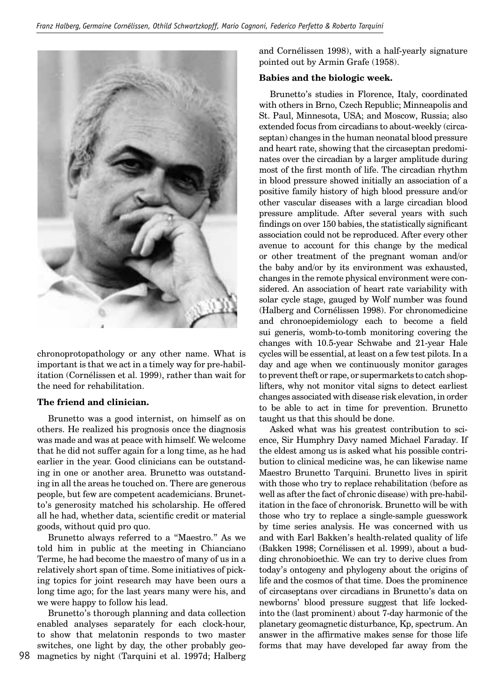

chronoprotopathology or any other name. What is important is that we act in a timely way for pre-habilitation (Cornélissen et al. 1999), rather than wait for the need for rehabilitation.

#### **The friend and clinician.**

Brunetto was a good internist, on himself as on others. He realized his prognosis once the diagnosis was made and was at peace with himself. We welcome that he did not suffer again for a long time, as he had earlier in the year. Good clinicians can be outstanding in one or another area. Brunetto was outstanding in all the areas he touched on. There are generous people, but few are competent academicians. Brunetto's generosity matched his scholarship. He offered all he had, whether data, scientific credit or material goods, without quid pro quo.

Brunetto always referred to a "Maestro." As we told him in public at the meeting in Chianciano Terme, he had become the maestro of many of us in a relatively short span of time. Some initiatives of picking topics for joint research may have been ours a long time ago; for the last years many were his, and we were happy to follow his lead.

98 magnetics by night (Tarquini et al. 1997d; Halberg Brunetto's thorough planning and data collection enabled analyses separately for each clock-hour, to show that melatonin responds to two master switches, one light by day, the other probably geoand Cornélissen 1998), with a half-yearly signature pointed out by Armin Grafe (1958).

### **Babies and the biologic week.**

Brunetto's studies in Florence, Italy, coordinated with others in Brno, Czech Republic; Minneapolis and St. Paul, Minnesota, USA; and Moscow, Russia; also extended focus from circadians to about-weekly (circaseptan) changes in the human neonatal blood pressure and heart rate, showing that the circaseptan predominates over the circadian by a larger amplitude during most of the first month of life. The circadian rhythm in blood pressure showed initially an association of a positive family history of high blood pressure and/or other vascular diseases with a large circadian blood pressure amplitude. After several years with such findings on over  $150$  babies, the statistically significant association could not be reproduced. After every other avenue to account for this change by the medical or other treatment of the pregnant woman and/or the baby and/or by its environment was exhausted, changes in the remote physical environment were considered. An association of heart rate variability with solar cycle stage, gauged by Wolf number was found (Halberg and Cornélissen 1998). For chronomedicine and chronoepidemiology each to become a field sui generis, womb-to-tomb monitoring covering the changes with 10.5-year Schwabe and 21-year Hale cycles will be essential, at least on a few test pilots. In a day and age when we continuously monitor garages to prevent theft or rape, or supermarkets to catch shoplifters, why not monitor vital signs to detect earliest changes associated with disease risk elevation, in order to be able to act in time for prevention. Brunetto taught us that this should be done.

Asked what was his greatest contribution to science, Sir Humphry Davy named Michael Faraday. If the eldest among us is asked what his possible contribution to clinical medicine was, he can likewise name Maestro Brunetto Tarquini. Brunetto lives in spirit with those who try to replace rehabilitation (before as well as after the fact of chronic disease) with pre-habilitation in the face of chronorisk. Brunetto will be with those who try to replace a single-sample guesswork by time series analysis. He was concerned with us and with Earl Bakken's health-related quality of life (Bakken 1998; Cornélissen et al. 1999), about a budding chronobioethic. We can try to derive clues from today's ontogeny and phylogeny about the origins of life and the cosmos of that time. Does the prominence of circaseptans over circadians in Brunetto's data on newborns' blood pressure suggest that life lockedinto the (last prominent) about 7-day harmonic of the planetary geomagnetic disturbance, Kp, spectrum. An answer in the affirmative makes sense for those life forms that may have developed far away from the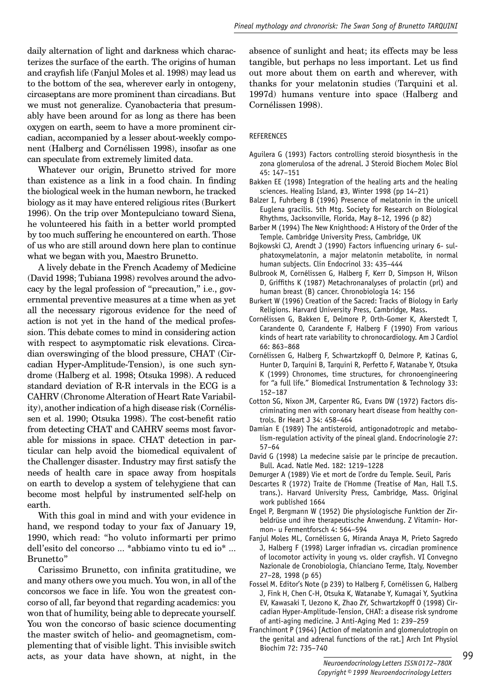daily alternation of light and darkness which characterizes the surface of the earth. The origins of human and crayfish life (Fanjul Moles et al. 1998) may lead us to the bottom of the sea, wherever early in ontogeny, circaseptans are more prominent than circadians. But we must not generalize. Cyanobacteria that presumably have been around for as long as there has been oxygen on earth, seem to have a more prominent circadian, accompanied by a lesser about-weekly component (Halberg and Cornélissen 1998), insofar as one can speculate from extremely limited data.

Whatever our origin, Brunetto strived for more than existence as a link in a food chain. In finding the biological week in the human newborn, he tracked biology as it may have entered religious rites (Burkert 1996). On the trip over Montepulciano toward Siena, he volunteered his faith in a better world prompted by too much suffering he encountered on earth. Those of us who are still around down here plan to continue what we began with you, Maestro Brunetto.

A lively debate in the French Academy of Medicine (David 1998; Tubiana 1998) revolves around the advocacy by the legal profession of "precaution," i.e., governmental preventive measures at a time when as yet all the necessary rigorous evidence for the need of action is not yet in the hand of the medical profession. This debate comes to mind in considering action with respect to asymptomatic risk elevations. Circadian overswinging of the blood pressure, CHAT (Circadian Hyper-Amplitude-Tension), is one such syndrome (Halberg et al. 1998; Otsuka 1998). A reduced standard deviation of R-R intervals in the ECG is a CAHRV (Chronome Alteration of Heart Rate Variability), another indication of a high disease risk (Cornélissen et al. 1990; Otsuka 1998). The cost-benefit ratio from detecting CHAT and CAHRV seems most favorable for missions in space. CHAT detection in particular can help avoid the biomedical equivalent of the Challenger disaster. Industry may first satisfy the needs of health care in space away from hospitals on earth to develop a system of telehygiene that can become most helpful by instrumented self-help on earth.

With this goal in mind and with your evidence in hand, we respond today to your fax of January 19, 1990, which read: "ho voluto informarti per primo dell'esito del concorso ... \*abbiamo vinto tu ed io\* ... Brunetto"

Carissimo Brunetto, con infinita gratitudine, we and many others owe you much. You won, in all of the concorsos we face in life. You won the greatest concorso of all, far beyond that regarding academics: you won that of humility, being able to deprecate yourself. You won the concorso of basic science documenting the master switch of helio- and geomagnetism, complementing that of visible light. This invisible switch acts, as your data have shown, at night, in the

absence of sunlight and heat; its effects may be less tangible, but perhaps no less important. Let us find out more about them on earth and wherever, with thanks for your melatonin studies (Tarquini et al. 1997d) humans venture into space (Halberg and Cornélissen 1998).

#### REFERENCES

- Aguilera G (1993) Factors controlling steroid biosynthesis in the zona glomerulosa of the adrenal. J Steroid Biochem Molec Biol 45: 147–151
- Bakken EE (1998) Integration of the healing arts and the healing sciences. Healing Island, #3, Winter 1998 (pp 14–21)
- Balzer I, Fuhrberg B (1996) Presence of melatonin in the unicell Euglena gracilis. 5th Mtg. Society for Research on Biological Rhythms, Jacksonville, Florida, May 8–12, 1996 (p 82)
- Barber M (1994) The New Knighthood: A History of the Order of the Temple. Cambridge University Press, Cambridge, UK
- Bojkowski CJ, Arendt J (1990) Factors influencing urinary 6- sulphatoxymelatonin, a major melatonin metabolite, in normal human subjects. Clin Endocrinol 33: 435–444
- Bulbrook M, Cornélissen G, Halberg F, Kerr D, Simpson H, Wilson D, Griffiths K (1987) Metachronanalyses of prolactin (prl) and human breast (B) cancer. Chronobiologia 14: 156
- Burkert W (1996) Creation of the Sacred: Tracks of Biology in Early Religions. Harvard University Press, Cambridge, Mass.
- Cornélissen G, Bakken E, Delmore P, Orth-Gomer K, Akerstedt T, Carandente O, Carandente F, Halberg F (1990) From various kinds of heart rate variability to chronocardiology. Am J Cardiol 66: 863–868
- Cornélissen G, Halberg F, Schwartzkopff O, Delmore P, Katinas G, Hunter D, Tarquini B, Tarquini R, Perfetto F, Watanabe Y, Otsuka K (1999) Chronomes, time structures, for chronoengineering for "a full life." Biomedical Instrumentation & Technology 33: 152–187
- Cotton SG, Nixon JM, Carpenter RG, Evans DW (1972) Factors discriminating men with coronary heart disease from healthy controls. Br Heart J 34: 458–464
- Damian E (1989) The antisteroid, antigonadotropic and metabolism-regulation activity of the pineal gland. Endocrinologie 27: 57–64
- David G (1998) La medecine saisie par le principe de precaution. Bull. Acad. Natle Med. 182: 1219–1228
- Demurger A (1989) Vie et mort de l'ordre du Temple. Seuil, Paris
- Descartes R (1972) Traite de l'Homme (Treatise of Man, Hall T.S. trans.). Harvard University Press, Cambridge, Mass. Original work published 1664
- Engel P, Bergmann W (1952) Die physiologische Funktion der Zirbeldrüse und ihre therapeutische Anwendung. Z Vitamin- Hormon- u Fermentforsch 4: 564–594
- Fanjul Moles ML, Cornélissen G, Miranda Anaya M, Prieto Sagredo J, Halberg F (1998) Larger infradian vs. circadian prominence of locomotor activity in young vs. older crayfish. VI Convegno Nazionale de Cronobiologia, Chianciano Terme, Italy, November 27–28, 1998 (p 65)
- Fossel M. Editor's Note (p 239) to Halberg F, Cornélissen G, Halberg J, Fink H, Chen C-H, Otsuka K, Watanabe Y, Kumagai Y, Syutkina EV, Kawasaki T, Uezono K, Zhao ZY, Schwartzkopff O (1998) Circadian Hyper-Amplitude-Tension, CHAT: a disease risk syndrome of anti-aging medicine. J Anti-Aging Med 1: 239–259
- Franchimont P (1964) [Action of melatonin and glomerulotropin on the genital and adrenal functions of the rat.] Arch Int Physiol Biochim 72: 735–740

99